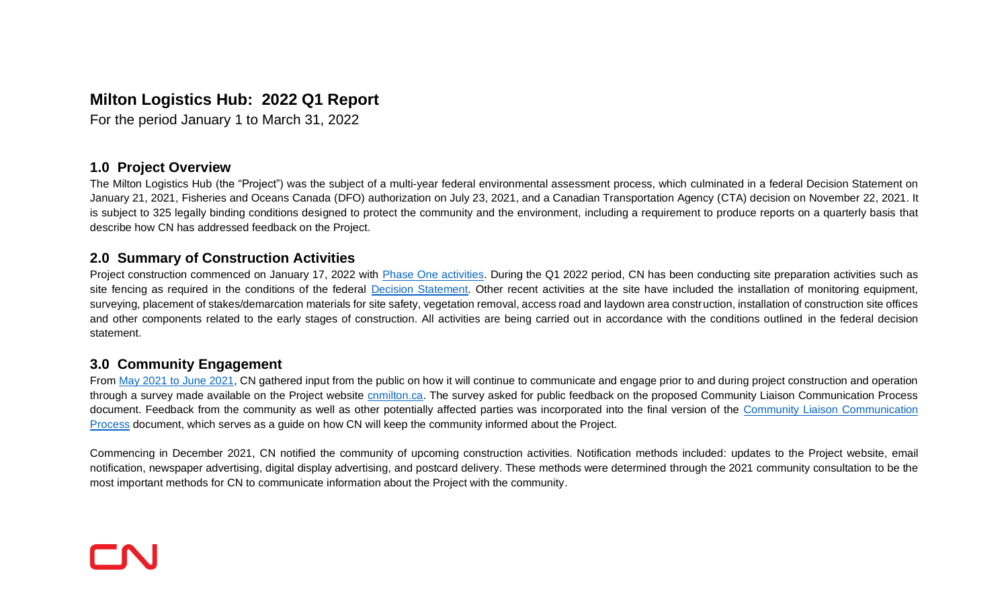# **Milton Logistics Hub: 2022 Q1 Report**

For the period January 1 to March 31, 2022

#### **1.0 Project Overview**

The Milton Logistics Hub (the "Project") was the subject of a multi-year federal environmental assessment process, which culminated in a federal Decision Statement on January 21, 2021, Fisheries and Oceans Canada (DFO) authorization on July 23, 2021, and a Canadian Transportation Agency (CTA) decision on November 22, 2021. It is subject to 325 legally binding conditions designed to protect the community and the environment, including a requirement to produce reports on a quarterly basis that describe how CN has addressed feedback on the Project.

#### **2.0 Summary of Construction Activities**

Project construction commenced on January 17, 2022 with [Phase One activities.](https://cnmilton.com/wp-content/uploads/2022/04/mlh-condition-15.2-construction-schedule-20220331.pdf) During the Q1 2022 period, CN has been conducting site preparation activities such as site fencing as required in the conditions of the federal [Decision Statement.](https://www.ceaa-acee.gc.ca/050/documents/p80100/137869E.pdf) Other recent activities at the site have included the installation of monitoring equipment, surveying, placement of stakes/demarcation materials for site safety, vegetation removal, access road and laydown area construction, installation of construction site offices and other components related to the early stages of construction. All activities are being carried out in accordance with the conditions outlined in the federal decision statement.

## **3.0 Community Engagement**

From [May 2021 to June 2021,](https://cnmilton.com/wp-content/uploads/2022/01/cnmilton-summary-report-november-2021.pdf) CN gathered input from the public on how it will continue to communicate and engage prior to and during project construction and operation through a survey made available on the Project website [cnmilton.ca.](http://www.cnmilton.ca/) The survey asked for public feedback on the proposed Community Liaison Communication Process document. Feedback from the community as well as other potentially affected parties was incorporated into the final version of the Community Liaison Communication [Process](https://cnmilton.com/wp-content/uploads/2022/02/cn-mlh-community-liaison-communication-process-january-19-2022-1.pdf) document, which serves as a guide on how CN will keep the community informed about the Project.

Commencing in December 2021, CN notified the community of upcoming construction activities. Notification methods included: updates to the Project website, email notification, newspaper advertising, digital display advertising, and postcard delivery. These methods were determined through the 2021 community consultation to be the most important methods for CN to communicate information about the Project with the community.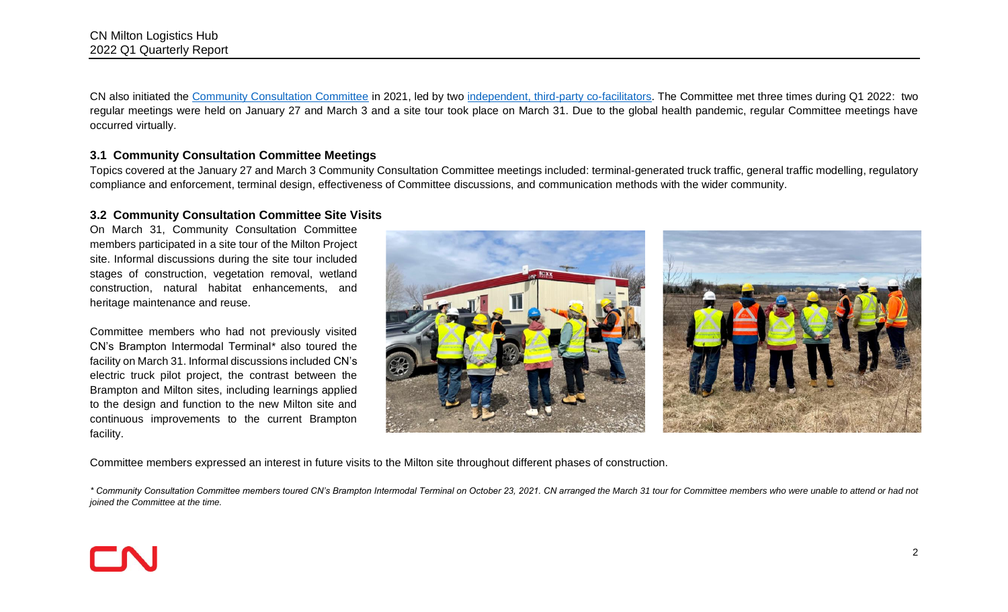CN also initiated the [Community Consultation Committee](https://cnmilton.com/community-consultation-committee-established-to-further-two-way-communication-on-the-cn-milton-logistics-hub/) in 2021, led by two [independent, third-party co-facilitators.](https://cnmilton.com/cn-appoints-independent-facilitators-to-lead-community-feedback-forum/) The Committee met three times during Q1 2022: two regular meetings were held on January 27 and March 3 and a site tour took place on March 31. Due to the global health pandemic, regular Committee meetings have occurred virtually.

#### **3.1 Community Consultation Committee Meetings**

Topics covered at the January 27 and March 3 Community Consultation Committee meetings included: terminal-generated truck traffic, general traffic modelling, regulatory compliance and enforcement, terminal design, effectiveness of Committee discussions, and communication methods with the wider community.

#### **3.2 Community Consultation Committee Site Visits**

On March 31, Community Consultation Committee members participated in a site tour of the Milton Project site. Informal discussions during the site tour included stages of construction, vegetation removal, wetland construction, natural habitat enhancements, and heritage maintenance and reuse.

Committee members who had not previously visited CN's Brampton Intermodal Terminal\* also toured the facility on March 31. Informal discussions included CN's electric truck pilot project, the contrast between the Brampton and Milton sites, including learnings applied to the design and function to the new Milton site and continuous improvements to the current Brampton facility.



Committee members expressed an interest in future visits to the Milton site throughout different phases of construction.

*\* Community Consultation Committee members toured CN's Brampton Intermodal Terminal on October 23, 2021. CN arranged the March 31 tour for Committee members who were unable to attend or had not joined the Committee at the time.*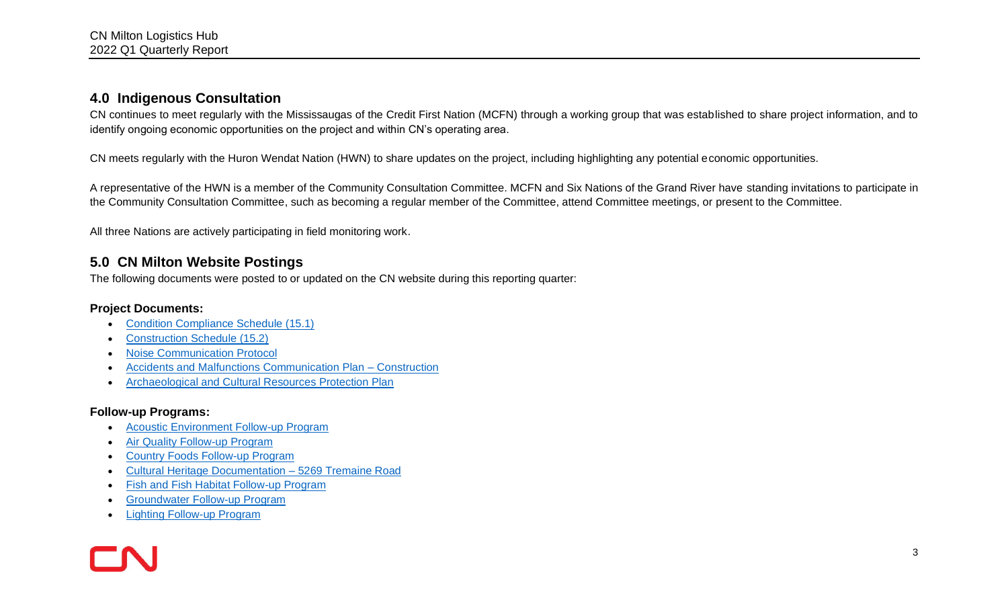## **4.0 Indigenous Consultation**

CN continues to meet regularly with the Mississaugas of the Credit First Nation (MCFN) through a working group that was established to share project information, and to identify ongoing economic opportunities on the project and within CN's operating area.

CN meets regularly with the Huron Wendat Nation (HWN) to share updates on the project, including highlighting any potential economic opportunities.

A representative of the HWN is a member of the Community Consultation Committee. MCFN and Six Nations of the Grand River have standing invitations to participate in the Community Consultation Committee, such as becoming a regular member of the Committee, attend Committee meetings, or present to the Committee.

All three Nations are actively participating in field monitoring work.

# **5.0 CN Milton Website Postings**

The following documents were posted to or updated on the CN website during this reporting quarter:

#### **Project Documents:**

- [Condition Compliance Schedule \(15.1\)](https://cnmilton.com/wp-content/uploads/2022/04/condition-15.1-condition-schedule_first_update_20220211.pdf)
- [Construction Schedule \(15.2\)](https://cnmilton.com/wp-content/uploads/2022/04/mlh-iaac-15.2-schedule-march-2022-update.pdf)
- [Noise Communication Protocol](https://cnmilton.com/wp-content/uploads/2022/04/cn_mlh_noise_communication_protocol-final-may-2021.pdf)
- [Accidents and Malfunctions Communication Plan –](https://cnmilton.com/wp-content/uploads/2022/03/cn_mlh_accidents_and_malfunctions_comms_construction.pdf) Construction
- [Archaeological and Cultural Resources Protection Plan](https://cnmilton.com/wp-content/uploads/2022/04/cn_mlh_arch_resources_protection_plan_20220214_fin_redacted.pdf)

## **Follow-up Programs:**

- [Acoustic Environment Follow-up Program](https://cnmilton.com/wp-content/uploads/2022/03/cn_mlh_acoustic_environment_fup.pdf)
- **[Air Quality Follow-up Program](https://cnmilton.com/wp-content/uploads/2022/03/cn_mlh_air_quality_fup.pdf)**
- [Country Foods Follow-up Program](https://cnmilton.com/wp-content/uploads/2022/03/cn_mlh_country_foods_fup.pdf)
- [Cultural Heritage Documentation –](https://cnmilton.com/wp-content/uploads/2022/03/cn_mlh_cultural_heritage_5269_tremainerd_report.pdf) 5269 Tremaine Road
- [Fish and Fish Habitat Follow-up Program](https://cnmilton.com/wp-content/uploads/2022/03/cn_mlh_fish_fish-habitat_fup.pdf)
- [Groundwater Follow-up Program](https://cnmilton.com/wp-content/uploads/2022/03/cn_mlh_groundwater_fup.pdf)
- [Lighting Follow-up Program](https://cnmilton.com/wp-content/uploads/2022/03/cn_mlh_lighting_fup.pdf)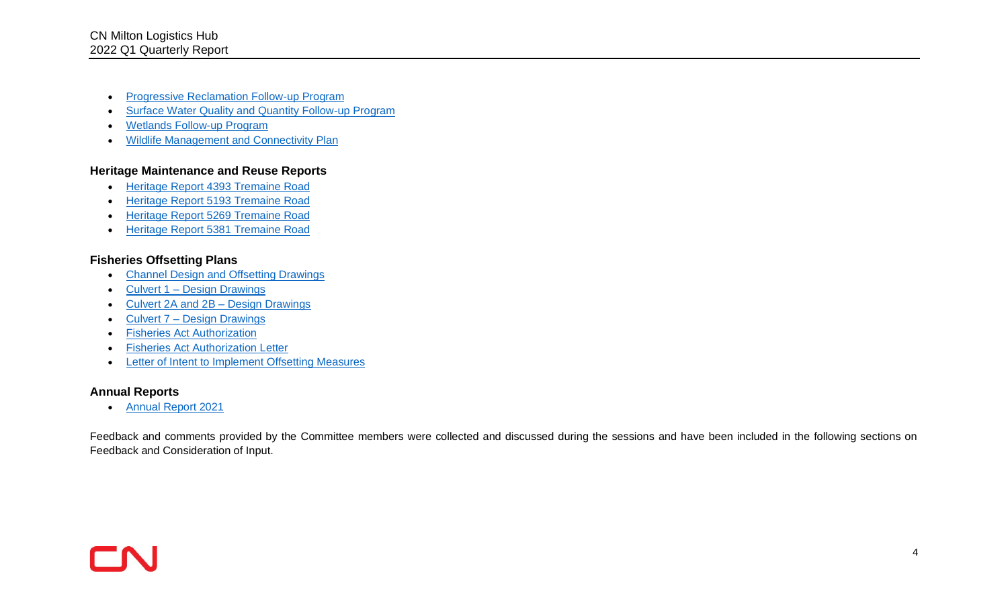- [Progressive Reclamation Follow-up Program](https://cnmilton.com/wp-content/uploads/2022/03/cn_mlh_progressive-reclamation_fup.pdf)
- [Surface Water Quality and Quantity Follow-up Program](https://cnmilton.com/wp-content/uploads/2022/03/cn_mlh_surface_water_quality_and_quantity_fup.pdf)
- [Wetlands Follow-up Program](https://cnmilton.com/wp-content/uploads/2022/03/cn_mlh_wetlands_fup.pdf)
- [Wildlife Management and Connectivity Plan](https://cnmilton.com/wp-content/uploads/2022/03/cn_mlh_wildlife_management_and_connectivity_fup.pdf)

#### **Heritage Maintenance and Reuse Reports**

- [Heritage Report 4393 Tremaine Road](https://cnmilton.com/wp-content/uploads/2022/04/rpt_60844_chpmrp_4393-tremaine_20211015_fnl.pdf)
- [Heritage Report 5193 Tremaine Road](https://cnmilton.com/wp-content/uploads/2022/04/rpt_60844_chpmrp_5193-tremaine_20211015_fnl.pdf)
- [Heritage Report 5269 Tremaine Road](https://cnmilton.com/wp-content/uploads/2022/04/rpt_60844_chpmrp_5269-tremaine_20211015_fnl.pdf)
- [Heritage Report 5381 Tremaine Road](https://cnmilton.com/wp-content/uploads/2022/04/rpt_60844_chpmrp_5381-tremaine_20211015_fnl.pdf)

#### **Fisheries Offsetting Plans**

- [Channel Design and Offsetting Drawings](https://cnmilton.com/wp-content/uploads/2022/04/channel-design-and-offsetting-drawings.pdf)
- Culvert 1 [Design Drawings](https://cnmilton.com/wp-content/uploads/2022/04/culvert-1-design-drawings.pdf)
- [Culvert 2A and 2B –](https://cnmilton.com/wp-content/uploads/2022/04/culvert-2a-and-2b-design-drawings.pdf) Design Drawings
- Culvert 7 [Design Drawings](https://cnmilton.com/wp-content/uploads/2022/04/culvert-7-design-drawings.pdf)
- [Fisheries Act Authorization](https://cnmilton.com/wp-content/uploads/2022/04/rdg-approved-faa-serious-harm-15-hcaa-00402-authorization-milton-logistics-hub.pdf)
- [Fisheries Act Authorization Letter](https://cnmilton.com/wp-content/uploads/2022/04/rdg-approved-faa-serious-harm-15-hcaa-00402-cover-letter-milton-logistics-hub.pdf)
- [Letter of Intent to Implement Offsetting Measures](https://cnmilton.com/wp-content/uploads/2022/04/rpt_60844_dfo_letter_of_intent_20210521_fin.pdf)

## **Annual Reports**

• [Annual Report 2021](https://cnmilton.com/wp-content/uploads/2022/04/cn_mlh_annual_report_20220329.pdf)

Feedback and comments provided by the Committee members were collected and discussed during the sessions and have been included in the following sections on Feedback and Consideration of Input.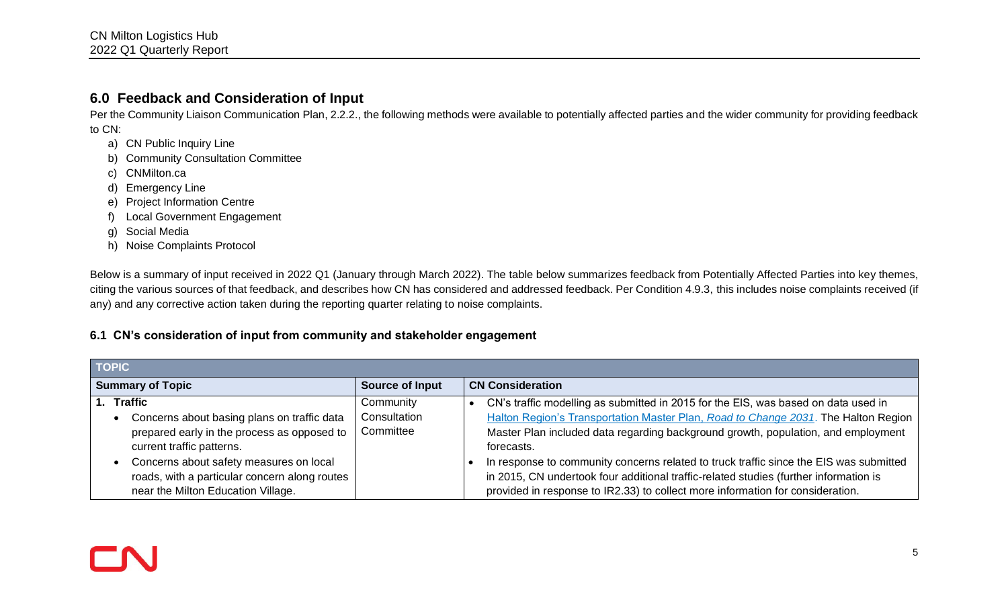# **6.0 Feedback and Consideration of Input**

Per the Community Liaison Communication Plan, 2.2.2., the following methods were available to potentially affected parties and the wider community for providing feedback to CN:

- a) CN Public Inquiry Line
- b) Community Consultation Committee
- c) CNMilton.ca
- d) Emergency Line
- e) Project Information Centre
- f) Local Government Engagement
- g) Social Media
- h) Noise Complaints Protocol

Below is a summary of input received in 2022 Q1 (January through March 2022). The table below summarizes feedback from Potentially Affected Parties into key themes, citing the various sources of that feedback, and describes how CN has considered and addressed feedback. Per Condition 4.9.3, this includes noise complaints received (if any) and any corrective action taken during the reporting quarter relating to noise complaints.

## **6.1 CN's consideration of input from community and stakeholder engagement**

| <b>TOPIC</b>                                                                                                                                                |                                        |                                                                                                                                                                                                                                                                                 |
|-------------------------------------------------------------------------------------------------------------------------------------------------------------|----------------------------------------|---------------------------------------------------------------------------------------------------------------------------------------------------------------------------------------------------------------------------------------------------------------------------------|
| <b>Summary of Topic</b>                                                                                                                                     | <b>Source of Input</b>                 | <b>CN Consideration</b>                                                                                                                                                                                                                                                         |
| 1. Traffic<br>Concerns about basing plans on traffic data<br>prepared early in the process as opposed to                                                    | Community<br>Consultation<br>Committee | CN's traffic modelling as submitted in 2015 for the EIS, was based on data used in<br>Halton Region's Transportation Master Plan, Road to Change 2031. The Halton Region<br>Master Plan included data regarding background growth, population, and employment                   |
| current traffic patterns.<br>Concerns about safety measures on local<br>roads, with a particular concern along routes<br>near the Milton Education Village. |                                        | forecasts.<br>In response to community concerns related to truck traffic since the EIS was submitted<br>in 2015, CN undertook four additional traffic-related studies (further information is<br>provided in response to IR2.33) to collect more information for consideration. |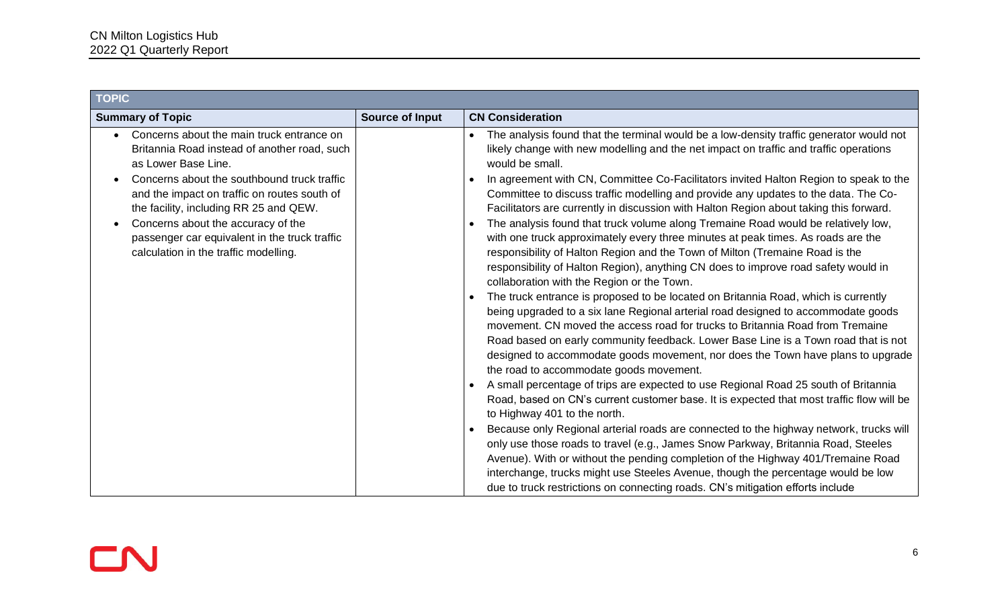| <b>TOPIC</b>                                                                                                                                                                                                                                                                                                                                                                                                        |                 |                                                                                                                                                                                                                                                                                                                                                                                                                                                                                                                                                                                                                                                                                                                                                                                                                                                                                                                                                                                                                                                                                                                                                                                                                                                                                                                                                                                                                                                                                                                                                                                                                                                                                                                                                                                                                                                                                                                                                                                                                                     |
|---------------------------------------------------------------------------------------------------------------------------------------------------------------------------------------------------------------------------------------------------------------------------------------------------------------------------------------------------------------------------------------------------------------------|-----------------|-------------------------------------------------------------------------------------------------------------------------------------------------------------------------------------------------------------------------------------------------------------------------------------------------------------------------------------------------------------------------------------------------------------------------------------------------------------------------------------------------------------------------------------------------------------------------------------------------------------------------------------------------------------------------------------------------------------------------------------------------------------------------------------------------------------------------------------------------------------------------------------------------------------------------------------------------------------------------------------------------------------------------------------------------------------------------------------------------------------------------------------------------------------------------------------------------------------------------------------------------------------------------------------------------------------------------------------------------------------------------------------------------------------------------------------------------------------------------------------------------------------------------------------------------------------------------------------------------------------------------------------------------------------------------------------------------------------------------------------------------------------------------------------------------------------------------------------------------------------------------------------------------------------------------------------------------------------------------------------------------------------------------------------|
| <b>Summary of Topic</b>                                                                                                                                                                                                                                                                                                                                                                                             | Source of Input | <b>CN Consideration</b>                                                                                                                                                                                                                                                                                                                                                                                                                                                                                                                                                                                                                                                                                                                                                                                                                                                                                                                                                                                                                                                                                                                                                                                                                                                                                                                                                                                                                                                                                                                                                                                                                                                                                                                                                                                                                                                                                                                                                                                                             |
| Concerns about the main truck entrance on<br>$\bullet$<br>Britannia Road instead of another road, such<br>as Lower Base Line.<br>Concerns about the southbound truck traffic<br>and the impact on traffic on routes south of<br>the facility, including RR 25 and QEW.<br>Concerns about the accuracy of the<br>$\bullet$<br>passenger car equivalent in the truck traffic<br>calculation in the traffic modelling. |                 | The analysis found that the terminal would be a low-density traffic generator would not<br>likely change with new modelling and the net impact on traffic and traffic operations<br>would be small.<br>In agreement with CN, Committee Co-Facilitators invited Halton Region to speak to the<br>Committee to discuss traffic modelling and provide any updates to the data. The Co-<br>Facilitators are currently in discussion with Halton Region about taking this forward.<br>The analysis found that truck volume along Tremaine Road would be relatively low,<br>$\bullet$<br>with one truck approximately every three minutes at peak times. As roads are the<br>responsibility of Halton Region and the Town of Milton (Tremaine Road is the<br>responsibility of Halton Region), anything CN does to improve road safety would in<br>collaboration with the Region or the Town.<br>The truck entrance is proposed to be located on Britannia Road, which is currently<br>being upgraded to a six lane Regional arterial road designed to accommodate goods<br>movement. CN moved the access road for trucks to Britannia Road from Tremaine<br>Road based on early community feedback. Lower Base Line is a Town road that is not<br>designed to accommodate goods movement, nor does the Town have plans to upgrade<br>the road to accommodate goods movement.<br>A small percentage of trips are expected to use Regional Road 25 south of Britannia<br>Road, based on CN's current customer base. It is expected that most traffic flow will be<br>to Highway 401 to the north.<br>Because only Regional arterial roads are connected to the highway network, trucks will<br>only use those roads to travel (e.g., James Snow Parkway, Britannia Road, Steeles<br>Avenue). With or without the pending completion of the Highway 401/Tremaine Road<br>interchange, trucks might use Steeles Avenue, though the percentage would be low<br>due to truck restrictions on connecting roads. CN's mitigation efforts include |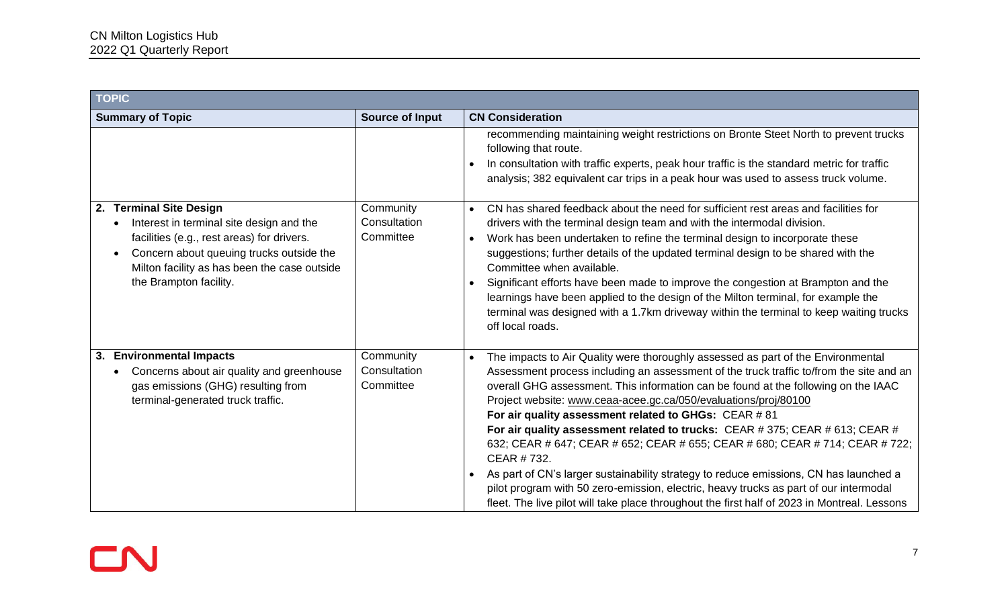| <b>TOPIC</b>                                                                                                                                                                                                                                                      |                                        |                                                                                                                                                                                                                                                                                                                                                                                                                                                                                                                                                                                                                                                                                                                                                                                                                                                                         |
|-------------------------------------------------------------------------------------------------------------------------------------------------------------------------------------------------------------------------------------------------------------------|----------------------------------------|-------------------------------------------------------------------------------------------------------------------------------------------------------------------------------------------------------------------------------------------------------------------------------------------------------------------------------------------------------------------------------------------------------------------------------------------------------------------------------------------------------------------------------------------------------------------------------------------------------------------------------------------------------------------------------------------------------------------------------------------------------------------------------------------------------------------------------------------------------------------------|
| <b>Summary of Topic</b>                                                                                                                                                                                                                                           | <b>Source of Input</b>                 | <b>CN Consideration</b>                                                                                                                                                                                                                                                                                                                                                                                                                                                                                                                                                                                                                                                                                                                                                                                                                                                 |
|                                                                                                                                                                                                                                                                   |                                        | recommending maintaining weight restrictions on Bronte Steet North to prevent trucks<br>following that route.<br>In consultation with traffic experts, peak hour traffic is the standard metric for traffic<br>analysis; 382 equivalent car trips in a peak hour was used to assess truck volume.                                                                                                                                                                                                                                                                                                                                                                                                                                                                                                                                                                       |
| 2. Terminal Site Design<br>Interest in terminal site design and the<br>$\bullet$<br>facilities (e.g., rest areas) for drivers.<br>Concern about queuing trucks outside the<br>$\bullet$<br>Milton facility as has been the case outside<br>the Brampton facility. | Community<br>Consultation<br>Committee | CN has shared feedback about the need for sufficient rest areas and facilities for<br>$\bullet$<br>drivers with the terminal design team and with the intermodal division.<br>Work has been undertaken to refine the terminal design to incorporate these<br>$\bullet$<br>suggestions; further details of the updated terminal design to be shared with the<br>Committee when available.<br>Significant efforts have been made to improve the congestion at Brampton and the<br>$\bullet$<br>learnings have been applied to the design of the Milton terminal, for example the<br>terminal was designed with a 1.7km driveway within the terminal to keep waiting trucks<br>off local roads.                                                                                                                                                                            |
| 3. Environmental Impacts<br>Concerns about air quality and greenhouse<br>gas emissions (GHG) resulting from<br>terminal-generated truck traffic.                                                                                                                  | Community<br>Consultation<br>Committee | The impacts to Air Quality were thoroughly assessed as part of the Environmental<br>$\bullet$<br>Assessment process including an assessment of the truck traffic to/from the site and an<br>overall GHG assessment. This information can be found at the following on the IAAC<br>Project website: www.ceaa-acee.gc.ca/050/evaluations/proj/80100<br>For air quality assessment related to GHGs: CEAR #81<br>For air quality assessment related to trucks: CEAR #375; CEAR #613; CEAR #<br>632; CEAR # 647; CEAR # 652; CEAR # 655; CEAR # 680; CEAR # 714; CEAR # 722;<br>CEAR #732.<br>As part of CN's larger sustainability strategy to reduce emissions, CN has launched a<br>pilot program with 50 zero-emission, electric, heavy trucks as part of our intermodal<br>fleet. The live pilot will take place throughout the first half of 2023 in Montreal. Lessons |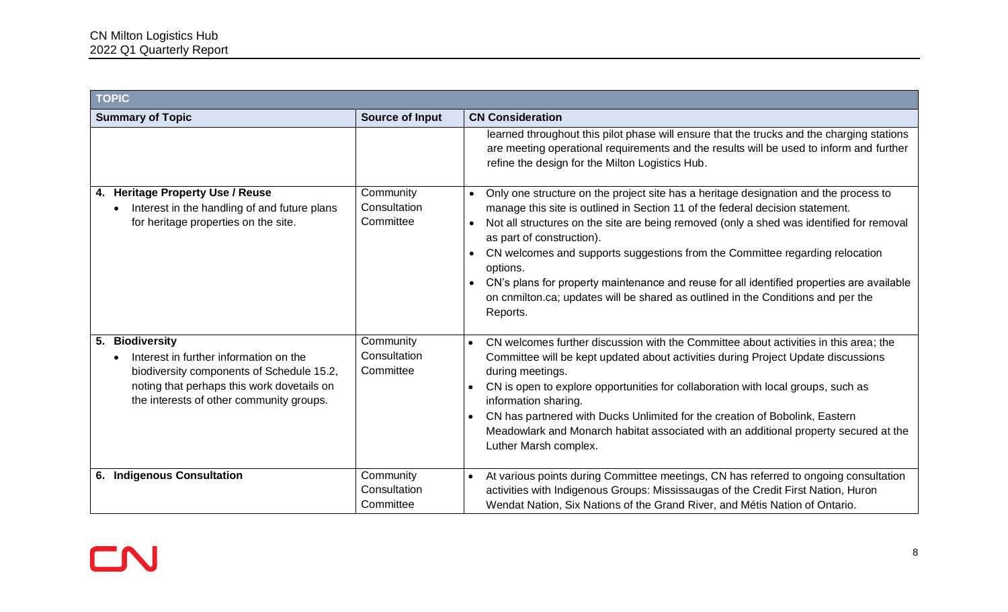| <b>TOPIC</b>                                                                                                                                                                                               |                                        |                                                                                                                                                                                                                                                                                                                                                                                                                                                                                                                                                                                                                   |
|------------------------------------------------------------------------------------------------------------------------------------------------------------------------------------------------------------|----------------------------------------|-------------------------------------------------------------------------------------------------------------------------------------------------------------------------------------------------------------------------------------------------------------------------------------------------------------------------------------------------------------------------------------------------------------------------------------------------------------------------------------------------------------------------------------------------------------------------------------------------------------------|
| <b>Summary of Topic</b>                                                                                                                                                                                    | <b>Source of Input</b>                 | <b>CN Consideration</b>                                                                                                                                                                                                                                                                                                                                                                                                                                                                                                                                                                                           |
|                                                                                                                                                                                                            |                                        | learned throughout this pilot phase will ensure that the trucks and the charging stations<br>are meeting operational requirements and the results will be used to inform and further<br>refine the design for the Milton Logistics Hub.                                                                                                                                                                                                                                                                                                                                                                           |
| 4. Heritage Property Use / Reuse<br>Interest in the handling of and future plans<br>for heritage properties on the site.                                                                                   | Community<br>Consultation<br>Committee | Only one structure on the project site has a heritage designation and the process to<br>$\bullet$<br>manage this site is outlined in Section 11 of the federal decision statement.<br>Not all structures on the site are being removed (only a shed was identified for removal<br>$\bullet$<br>as part of construction).<br>CN welcomes and supports suggestions from the Committee regarding relocation<br>options.<br>CN's plans for property maintenance and reuse for all identified properties are available<br>on cnmilton.ca; updates will be shared as outlined in the Conditions and per the<br>Reports. |
| <b>Biodiversity</b><br>5.<br>Interest in further information on the<br>biodiversity components of Schedule 15.2,<br>noting that perhaps this work dovetails on<br>the interests of other community groups. | Community<br>Consultation<br>Committee | CN welcomes further discussion with the Committee about activities in this area; the<br>$\bullet$<br>Committee will be kept updated about activities during Project Update discussions<br>during meetings.<br>CN is open to explore opportunities for collaboration with local groups, such as<br>information sharing.<br>CN has partnered with Ducks Unlimited for the creation of Bobolink, Eastern<br>$\bullet$<br>Meadowlark and Monarch habitat associated with an additional property secured at the<br>Luther Marsh complex.                                                                               |
| 6. Indigenous Consultation                                                                                                                                                                                 | Community<br>Consultation<br>Committee | At various points during Committee meetings, CN has referred to ongoing consultation<br>activities with Indigenous Groups: Mississaugas of the Credit First Nation, Huron<br>Wendat Nation, Six Nations of the Grand River, and Métis Nation of Ontario.                                                                                                                                                                                                                                                                                                                                                          |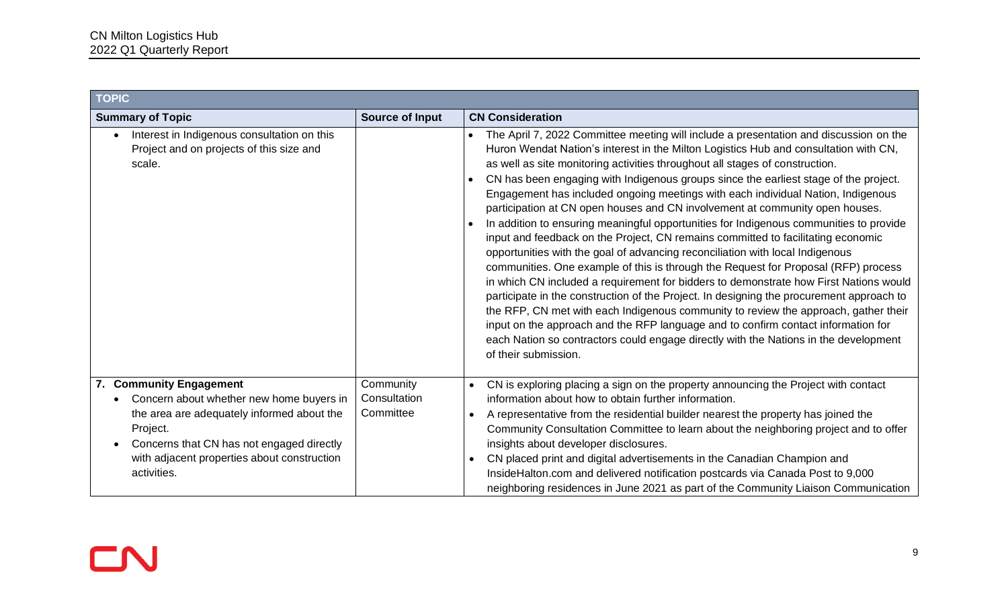| <b>TOPIC</b>                                                                                                                                                                                                                                                       |                                        |                                                                                                                                                                                                                                                                                                                                                                                                                                                                                                                                                                                                                                                                                                                                                                                                                                                                                                                                                                                                                                                                                                                                                                                                                                                                                                                                                                              |
|--------------------------------------------------------------------------------------------------------------------------------------------------------------------------------------------------------------------------------------------------------------------|----------------------------------------|------------------------------------------------------------------------------------------------------------------------------------------------------------------------------------------------------------------------------------------------------------------------------------------------------------------------------------------------------------------------------------------------------------------------------------------------------------------------------------------------------------------------------------------------------------------------------------------------------------------------------------------------------------------------------------------------------------------------------------------------------------------------------------------------------------------------------------------------------------------------------------------------------------------------------------------------------------------------------------------------------------------------------------------------------------------------------------------------------------------------------------------------------------------------------------------------------------------------------------------------------------------------------------------------------------------------------------------------------------------------------|
| <b>Summary of Topic</b>                                                                                                                                                                                                                                            | <b>Source of Input</b>                 | <b>CN Consideration</b>                                                                                                                                                                                                                                                                                                                                                                                                                                                                                                                                                                                                                                                                                                                                                                                                                                                                                                                                                                                                                                                                                                                                                                                                                                                                                                                                                      |
| Interest in Indigenous consultation on this<br>$\bullet$<br>Project and on projects of this size and<br>scale.                                                                                                                                                     |                                        | The April 7, 2022 Committee meeting will include a presentation and discussion on the<br>Huron Wendat Nation's interest in the Milton Logistics Hub and consultation with CN,<br>as well as site monitoring activities throughout all stages of construction.<br>CN has been engaging with Indigenous groups since the earliest stage of the project.<br>Engagement has included ongoing meetings with each individual Nation, Indigenous<br>participation at CN open houses and CN involvement at community open houses.<br>In addition to ensuring meaningful opportunities for Indigenous communities to provide<br>$\bullet$<br>input and feedback on the Project, CN remains committed to facilitating economic<br>opportunities with the goal of advancing reconciliation with local Indigenous<br>communities. One example of this is through the Request for Proposal (RFP) process<br>in which CN included a requirement for bidders to demonstrate how First Nations would<br>participate in the construction of the Project. In designing the procurement approach to<br>the RFP, CN met with each Indigenous community to review the approach, gather their<br>input on the approach and the RFP language and to confirm contact information for<br>each Nation so contractors could engage directly with the Nations in the development<br>of their submission. |
| 7. Community Engagement<br>Concern about whether new home buyers in<br>$\bullet$<br>the area are adequately informed about the<br>Project.<br>Concerns that CN has not engaged directly<br>$\bullet$<br>with adjacent properties about construction<br>activities. | Community<br>Consultation<br>Committee | CN is exploring placing a sign on the property announcing the Project with contact<br>$\bullet$<br>information about how to obtain further information.<br>A representative from the residential builder nearest the property has joined the<br>$\bullet$<br>Community Consultation Committee to learn about the neighboring project and to offer<br>insights about developer disclosures.<br>CN placed print and digital advertisements in the Canadian Champion and<br>$\bullet$<br>InsideHalton.com and delivered notification postcards via Canada Post to 9,000<br>neighboring residences in June 2021 as part of the Community Liaison Communication                                                                                                                                                                                                                                                                                                                                                                                                                                                                                                                                                                                                                                                                                                                   |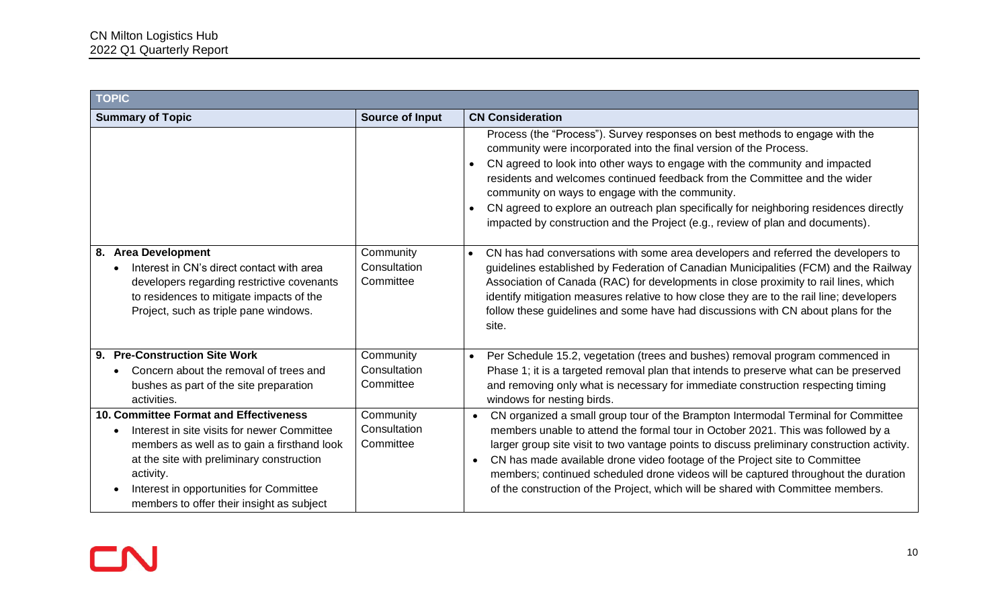| <b>TOPIC</b>                                                                                                                                                                                                                                                                                               |                                        |                                                                                                                                                                                                                                                                                                                                                                                                                                                                                                                                                                          |
|------------------------------------------------------------------------------------------------------------------------------------------------------------------------------------------------------------------------------------------------------------------------------------------------------------|----------------------------------------|--------------------------------------------------------------------------------------------------------------------------------------------------------------------------------------------------------------------------------------------------------------------------------------------------------------------------------------------------------------------------------------------------------------------------------------------------------------------------------------------------------------------------------------------------------------------------|
| <b>Summary of Topic</b>                                                                                                                                                                                                                                                                                    | <b>Source of Input</b>                 | <b>CN Consideration</b>                                                                                                                                                                                                                                                                                                                                                                                                                                                                                                                                                  |
|                                                                                                                                                                                                                                                                                                            |                                        | Process (the "Process"). Survey responses on best methods to engage with the<br>community were incorporated into the final version of the Process.<br>CN agreed to look into other ways to engage with the community and impacted<br>$\bullet$<br>residents and welcomes continued feedback from the Committee and the wider<br>community on ways to engage with the community.<br>CN agreed to explore an outreach plan specifically for neighboring residences directly<br>$\bullet$<br>impacted by construction and the Project (e.g., review of plan and documents). |
| 8. Area Development<br>Interest in CN's direct contact with area<br>$\bullet$<br>developers regarding restrictive covenants<br>to residences to mitigate impacts of the<br>Project, such as triple pane windows.                                                                                           | Community<br>Consultation<br>Committee | CN has had conversations with some area developers and referred the developers to<br>$\bullet$<br>guidelines established by Federation of Canadian Municipalities (FCM) and the Railway<br>Association of Canada (RAC) for developments in close proximity to rail lines, which<br>identify mitigation measures relative to how close they are to the rail line; developers<br>follow these guidelines and some have had discussions with CN about plans for the<br>site.                                                                                                |
| 9. Pre-Construction Site Work<br>Concern about the removal of trees and<br>$\bullet$<br>bushes as part of the site preparation<br>activities.                                                                                                                                                              | Community<br>Consultation<br>Committee | Per Schedule 15.2, vegetation (trees and bushes) removal program commenced in<br>$\bullet$<br>Phase 1; it is a targeted removal plan that intends to preserve what can be preserved<br>and removing only what is necessary for immediate construction respecting timing<br>windows for nesting birds.                                                                                                                                                                                                                                                                    |
| <b>10. Committee Format and Effectiveness</b><br>Interest in site visits for newer Committee<br>$\bullet$<br>members as well as to gain a firsthand look<br>at the site with preliminary construction<br>activity.<br>Interest in opportunities for Committee<br>members to offer their insight as subject | Community<br>Consultation<br>Committee | CN organized a small group tour of the Brampton Intermodal Terminal for Committee<br>members unable to attend the formal tour in October 2021. This was followed by a<br>larger group site visit to two vantage points to discuss preliminary construction activity.<br>CN has made available drone video footage of the Project site to Committee<br>members; continued scheduled drone videos will be captured throughout the duration<br>of the construction of the Project, which will be shared with Committee members.                                             |